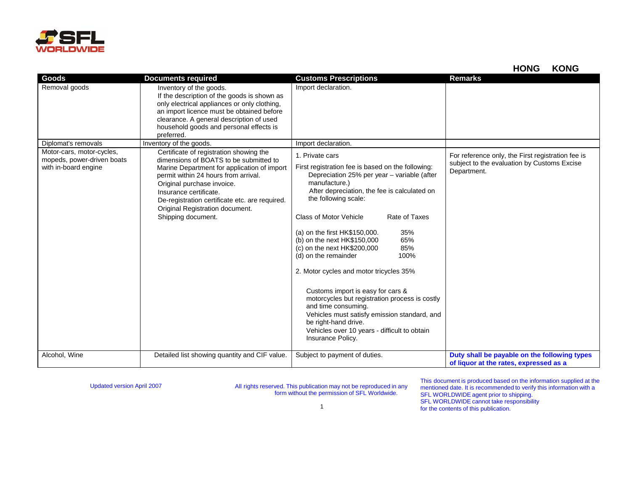

**HONG KONG**

| Goods                                                                           | <b>Documents required</b>                                                                                                                                                                                                                                                                                                                   | <b>Customs Prescriptions</b>                                                                                                                                                                                                                                                                                                                                                                                                                                                                                                                                                                                                                                                                                      | <b>Remarks</b>                                                                                                  |
|---------------------------------------------------------------------------------|---------------------------------------------------------------------------------------------------------------------------------------------------------------------------------------------------------------------------------------------------------------------------------------------------------------------------------------------|-------------------------------------------------------------------------------------------------------------------------------------------------------------------------------------------------------------------------------------------------------------------------------------------------------------------------------------------------------------------------------------------------------------------------------------------------------------------------------------------------------------------------------------------------------------------------------------------------------------------------------------------------------------------------------------------------------------------|-----------------------------------------------------------------------------------------------------------------|
| Removal goods                                                                   | Inventory of the goods.<br>If the description of the goods is shown as<br>only electrical appliances or only clothing,<br>an import licence must be obtained before<br>clearance. A general description of used<br>household goods and personal effects is<br>preferred.                                                                    | Import declaration.                                                                                                                                                                                                                                                                                                                                                                                                                                                                                                                                                                                                                                                                                               |                                                                                                                 |
| Diplomat's removals                                                             | Inventory of the goods.                                                                                                                                                                                                                                                                                                                     | Import declaration.                                                                                                                                                                                                                                                                                                                                                                                                                                                                                                                                                                                                                                                                                               |                                                                                                                 |
| Motor-cars, motor-cycles,<br>mopeds, power-driven boats<br>with in-board engine | Certificate of registration showing the<br>dimensions of BOATS to be submitted to<br>Marine Department for application of import<br>permit within 24 hours from arrival.<br>Original purchase invoice.<br>Insurance certificate.<br>De-registration certificate etc. are required.<br>Original Registration document.<br>Shipping document. | 1. Private cars<br>First registration fee is based on the following:<br>Depreciation 25% per year – variable (after<br>manufacture.)<br>After depreciation, the fee is calculated on<br>the following scale:<br>Class of Motor Vehicle<br>Rate of Taxes<br>35%<br>(a) on the first HK\$150,000.<br>65%<br>(b) on the next HK\$150,000<br>85%<br>(c) on the next HK\$200,000<br>100%<br>(d) on the remainder<br>2. Motor cycles and motor tricycles 35%<br>Customs import is easy for cars &<br>motorcycles but registration process is costly<br>and time consuming.<br>Vehicles must satisfy emission standard, and<br>be right-hand drive.<br>Vehicles over 10 years - difficult to obtain<br>Insurance Policy. | For reference only, the First registration fee is<br>subject to the evaluation by Customs Excise<br>Department. |
| Alcohol, Wine                                                                   | Detailed list showing quantity and CIF value.                                                                                                                                                                                                                                                                                               | Subject to payment of duties.                                                                                                                                                                                                                                                                                                                                                                                                                                                                                                                                                                                                                                                                                     | Duty shall be payable on the following types<br>of liquor at the rates, expressed as a                          |

Updated version April 2007 All rights reserved. This publication may not be reproduced in any form without the permission of SFL Worldwide.

This document is produced based on the information supplied at the mentioned date. It is recommended to verify this information with a SFL WORLDWIDE agent prior to shipping. SFL WORLDWIDE cannot take responsibility for the contents of this publication.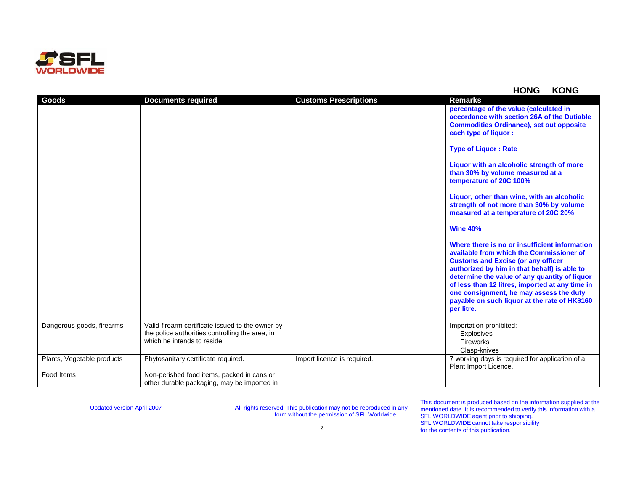

## **HONG KONG**

| Goods                      | <b>Documents required</b>                                                                                                          | <b>Customs Prescriptions</b> | <b>Remarks</b>                                                                                                                                                                                                                                                                                                                                                                                       |
|----------------------------|------------------------------------------------------------------------------------------------------------------------------------|------------------------------|------------------------------------------------------------------------------------------------------------------------------------------------------------------------------------------------------------------------------------------------------------------------------------------------------------------------------------------------------------------------------------------------------|
|                            |                                                                                                                                    |                              | percentage of the value (calculated in<br>accordance with section 26A of the Dutiable<br><b>Commodities Ordinance), set out opposite</b><br>each type of liquor :                                                                                                                                                                                                                                    |
|                            |                                                                                                                                    |                              | <b>Type of Liquor: Rate</b>                                                                                                                                                                                                                                                                                                                                                                          |
|                            |                                                                                                                                    |                              | Liquor with an alcoholic strength of more<br>than 30% by volume measured at a<br>temperature of 20C 100%                                                                                                                                                                                                                                                                                             |
|                            |                                                                                                                                    |                              | Liquor, other than wine, with an alcoholic<br>strength of not more than 30% by volume<br>measured at a temperature of 20C 20%                                                                                                                                                                                                                                                                        |
|                            |                                                                                                                                    |                              | <b>Wine 40%</b>                                                                                                                                                                                                                                                                                                                                                                                      |
|                            |                                                                                                                                    |                              | Where there is no or insufficient information<br>available from which the Commissioner of<br><b>Customs and Excise (or any officer</b><br>authorized by him in that behalf) is able to<br>determine the value of any quantity of liquor<br>of less than 12 litres, imported at any time in<br>one consignment, he may assess the duty<br>payable on such liquor at the rate of HK\$160<br>per litre. |
| Dangerous goods, firearms  | Valid firearm certificate issued to the owner by<br>the police authorities controlling the area, in<br>which he intends to reside. |                              | Importation prohibited:<br><b>Explosives</b><br>Fireworks                                                                                                                                                                                                                                                                                                                                            |
| Plants, Vegetable products | Phytosanitary certificate required.                                                                                                | Import licence is required.  | Clasp-knives<br>7 working days is required for application of a                                                                                                                                                                                                                                                                                                                                      |
|                            |                                                                                                                                    |                              | Plant Import Licence.                                                                                                                                                                                                                                                                                                                                                                                |
| Food Items                 | Non-perished food items, packed in cans or<br>other durable packaging, may be imported in                                          |                              |                                                                                                                                                                                                                                                                                                                                                                                                      |

Updated version April 2007 All rights reserved. This publication may not be reproduced in any form without the permission of SFL Worldwide.

This document is produced based on the information supplied at the mentioned date. It is recommended to verify this information with a SFL WORLDWIDE agent prior to shipping. SFL WORLDWIDE cannot take responsibility for the contents of this publication.